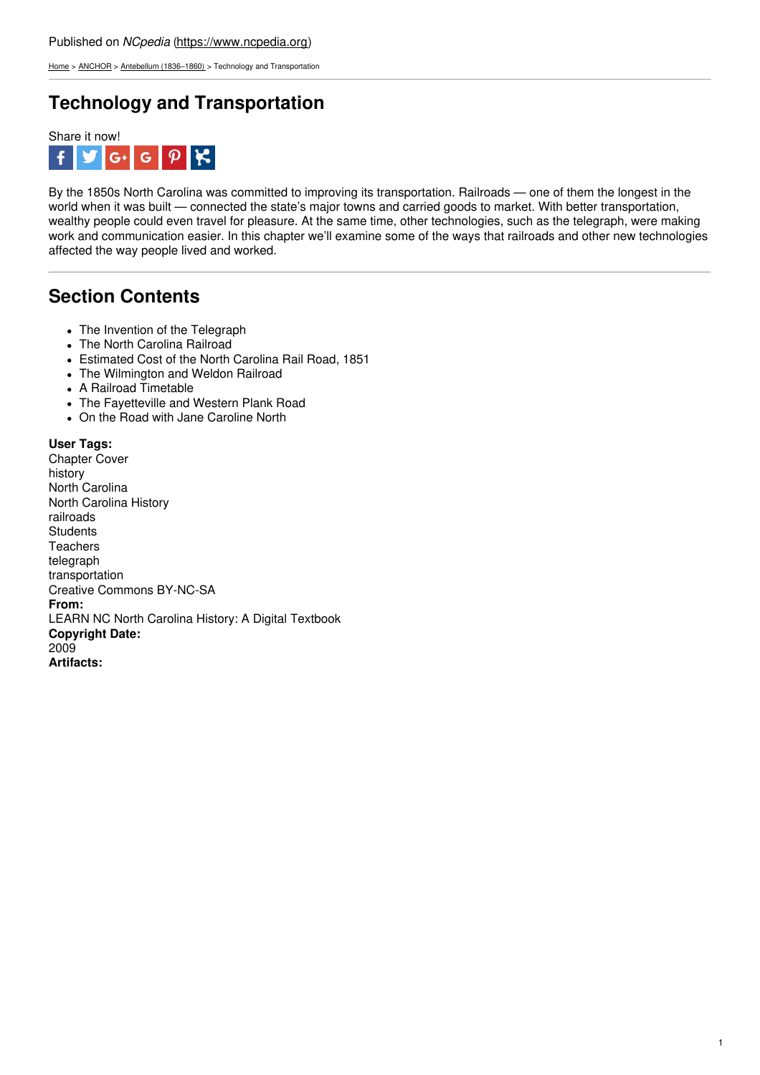[Home](https://www.ncpedia.org/) > [ANCHOR](https://www.ncpedia.org/anchor/anchor) > Antebellum [\(1836–1860\)](https://www.ncpedia.org/anchor/antebellum-1836%E2%80%931860) > Technology and Transportation

## **Technology and Transportation**



By the 1850s North Carolina was committed to improving its transportation. Railroads — one of them the longest in the world when it was built — connected the state's major towns and carried goods to market. With better transportation, wealthy people could even travel for pleasure. At the same time, other technologies, such as the telegraph, were making work and communication easier. In this chapter we'll examine some of the ways that railroads and other new technologies affected the way people lived and worked.

## **Section Contents**

- T[h](http://www.social9.com)e Invention of the Telegraph
- The North Carolina Railroad
- Estimated Cost of the North Carolina Rail Road, 1851
- The Wilmington and Weldon Railroad
- A Railroad Timetable
- The Fayetteville and Western Plank Road
- On the Road with Jane Caroline North

**User Tags:** Chapter Cover history North Carolina North Carolina History railroads **Students Teachers** telegraph transportation Creative Commons BY-NC-SA **From:** LEARN NC North Carolina History: A Digital Textbook **Copyright Date:** 2009 **Artifacts:**